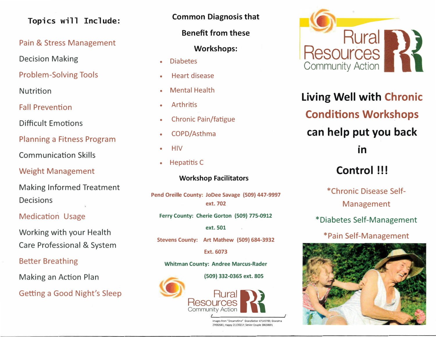# Topics will Include:

# Pain & Stress Management

Decision Making

Problem-Solving Tools

Nutrition

Fall Prevention

Difficult Emotions

Planning a Fitness Program

Communication Skills

Weight Management

Making Informed Treatment Decisions

# Medication Usage

Working with your Health Care Professional **&** System

## Better Breathing

Making an Action Plan

Getting a Good Night's Sleep

**Common Diagnosis that** 

**Benefit from these** 

## **Workshops:**

- •Diabetes
- •Heart disease
- •Mental Health
- •**Arthritis**
- •Chronic Pain/fatigue
- •COPD/Asthma
- •**HIV**
- •Hepatitis C

### Workshop Facilitators

**Pend Oreille County: JoDee Savage (509) 447-9997 ext. 702** 

**Ferry County: Cherie Gorton (509} 775-0912** 

**ext. 501** 

**Stevens County: Art Mathew (509) 684-3932** 

**Ext. 6073** 

#### **Whitman County: Andree Marcus-Rader**

**(509) 332-0365 ext. 805**



Images from "Dreamstime" Grandfather 47145700; Grandma 27692681; Happy 21130217; Senior Couple 38638691



**Living Well with Chronic Conditions Workshops \_ can help put you back In** 

# **Control !!!**

\*Chronic Disease Self-Management

\*Diabetes Self-Management

# \*Pain Self-Management